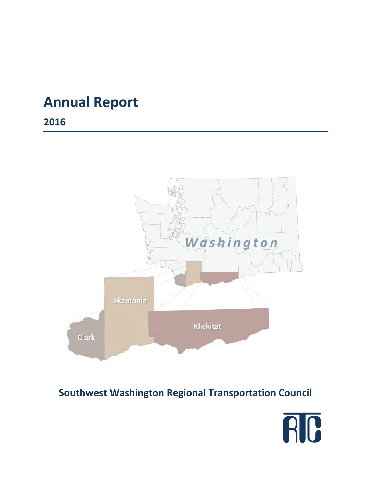# **Annual Report**

**2016** 



# **Southwest Washington Regional Transportation Council**

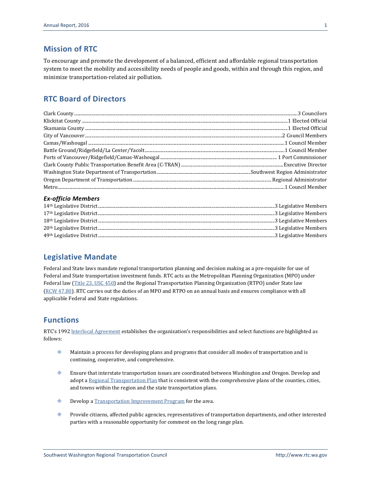#### **Mission of RTC**

To encourage and promote the development of a balanced, efficient and affordable regional transportation system to meet the mobility and accessibility needs of people and goods, within and through this region, and minimize transportation-related air pollution.

#### **RTC Board of Directors**

#### *Ex-officio Members*

#### **Legislative Mandate**

Federal and State laws mandate regional transportation planning and decision making as a pre-requisite for use of Federal and State transportation investment funds. RTC acts as the Metropolitan Planning Organization (MPO) under Federal law [\(Title 23, USC 450\)](http://www.gpo.gov/fdsys/granule/CFR-2004-title23-vol1/CFR-2004-title23-vol1-part450/content-detail.html) and the Regional Transportation Planning Organization (RTPO) under State law (RCW [47.80\)](http://apps.leg.wa.gov/rcw/default.aspx?cite=47.80&full=true). RTC carries out the duties of an MPO and RTPO on an annual basis and ensures compliance with all applicable Federal and State regulations.

#### **Functions**

RTC's 1992 [lnterlocal Agreement](http://www.rtc.wa.gov/agency/docs/RTC-Interlocal19920701.pdf) establishes the organization's responsibilities and select functions are highlighted as follows:

- Maintain a process for developing plans and programs that consider all modes of transportation and is continuing, cooperative, and comprehensive.
- Ensure that interstate transportation issues are coordinated between Washington and Oregon. Develop and adopt [a Regional Transportation Plan](http://www.rtc.wa.gov/programs/rtp/) that is consistent with the comprehensive plans of the counties, cities, and towns within the region and the state transportation plans.
- **Develop a [Transportation Improvement Program](http://www.rtc.wa.gov/programs/tip/) for the area.**
- Provide citizens, affected public agencies, representatives of transportation departments, and other interested parties with a reasonable opportunity for comment on the long range plan.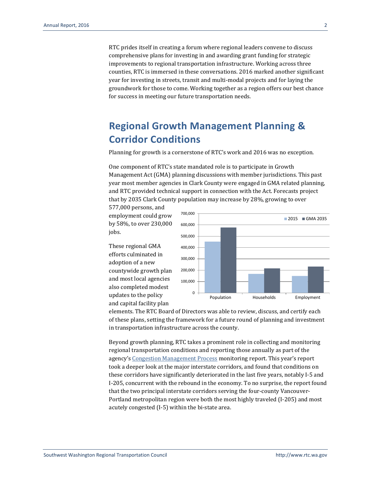RTC prides itself in creating a forum where regional leaders convene to discuss comprehensive plans for investing in and awarding grant funding for strategic improvements to regional transportation infrastructure. Working across three counties, RTC is immersed in these conversations. 2016 marked another significant year for investing in streets, transit and multi-modal projects and for laying the groundwork for those to come. Working together as a region offers our best chance for success in meeting our future transportation needs.

# **Regional Growth Management Planning & Corridor Conditions**

Planning for growth is a cornerstone of RTC's work and 2016 was no exception.

One component of RTC's state mandated role is to participate in Growth Management Act (GMA) planning discussions with member jurisdictions. This past year most member agencies in Clark County were engaged in GMA related planning, and RTC provided technical support in connection with the Act. Forecasts project that by 2035 Clark County population may increase by 28%, growing to over

577,000 persons, and employment could grow by 58%, to over 230,000 jobs.

These regional GMA efforts culminated in adoption of a new countywide growth plan and most local agencies also completed modest updates to the policy and capital facility plan



elements. The RTC Board of Directors was able to review, discuss, and certify each of these plans, setting the framework for a future round of planning and investment in transportation infrastructure across the county.

Beyond growth planning, RTC takes a prominent role in collecting and monitoring regional transportation conditions and reporting those annually as part of the agency'[s Congestion Management Process](http://rtc.wa.gov/programs/cmp/) monitoring report. This year's report took a deeper look at the major interstate corridors, and found that conditions on these corridors have significantly deteriorated in the last five years, notably I-5 and I-205, concurrent with the rebound in the economy. To no surprise, the report found that the two principal interstate corridors serving the four-county Vancouver-Portland metropolitan region were both the most highly traveled (I-205) and most acutely congested (I-5) within the bi-state area.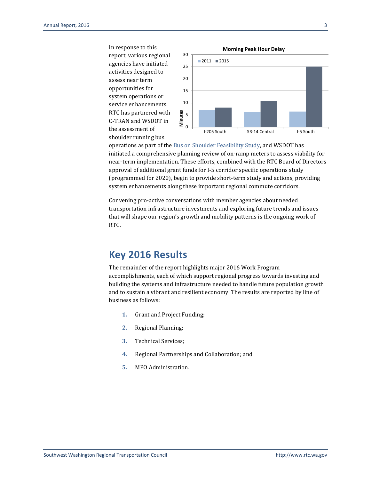In response to this report, various regional agencies have initiated activities designed to assess near term opportunities for system operations or service enhancements. RTC has partnered with C-TRAN and WSDOT in the assessment of shoulder running bus



operations as part of th[e Bus on Shoulder Feasibility Study,](http://www.rtc.wa.gov/news/feature/?id=160412) and WSDOT has initiated a comprehensive planning review of on-ramp meters to assess viability for near-term implementation. These efforts, combined with the RTC Board of Directors approval of additional grant funds for I-5 corridor specific operations study (programmed for 2020), begin to provide short-term study and actions, providing system enhancements along these important regional commute corridors.

Convening pro-active conversations with member agencies about needed transportation infrastructure investments and exploring future trends and issues that will shape our region's growth and mobility patterns is the ongoing work of RTC.

#### **Key 2016 Results**

The remainder of the report highlights major 2016 Work Program accomplishments, each of which support regional progress towards investing and building the systems and infrastructure needed to handle future population growth and to sustain a vibrant and resilient economy. The results are reported by line of business as follows:

- **1.** Grant and Project Funding;
- **2.** Regional Planning;
- **3.** Technical Services;
- **4.** Regional Partnerships and Collaboration; and
- **5.** MPO Administration.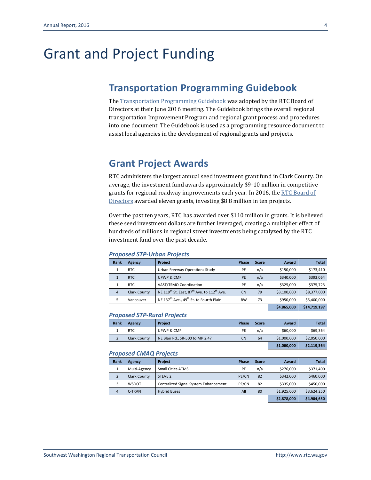# Grant and Project Funding

## **Transportation Programming Guidebook**

Th[e Transportation Programming Guidebook](http://www.rtc.wa.gov/programs/tip/docs/ProgrammingGuidebook.pdf) was adopted by the RTC Board of Directors at their June 2016 meeting. The Guidebook brings the overall regional transportation Improvement Program and regional grant process and procedures into one document. The Guidebook is used as a programming resource document to assist local agencies in the development of regional grants and projects.

# **Grant Project Awards**

RTC administers the largest annual seed investment grant fund in Clark County. On average, the investment fund awards approximately \$9-10 million in competitive grants for regional roadway improvements each year. In 2016, the RTC Board of [Directors](http://www.rtc.wa.gov/agency/board/) awarded eleven grants, investing \$8.8 million in ten projects.

Over the past ten years, RTC has awarded over \$110 million in grants. It is believed these seed investment dollars are further leveraged, creating a multiplier effect of hundreds of millions in regional street investments being catalyzed by the RTC investment fund over the past decade.

| Rank           | Agency              | Project                                                                        | Phase     | <b>Score</b> | Award       | <b>Total</b> |
|----------------|---------------------|--------------------------------------------------------------------------------|-----------|--------------|-------------|--------------|
|                | <b>RTC</b>          | Urban Freeway Operations Study                                                 | PE        | n/a          | \$150,000   | \$173,410    |
|                | <b>RTC</b>          | UPWP & CMP                                                                     | PE        | n/a          | \$340,000   | \$393,064    |
|                | <b>RTC</b>          | VAST/TSMO Coordination                                                         | PE        | n/a          | \$325,000   | \$375,723    |
| $\overline{4}$ | <b>Clark County</b> | NE 119 <sup>th</sup> St. East, 87 <sup>th</sup> Ave. to 112 <sup>th</sup> Ave. | <b>CN</b> | 79           | \$3,100,000 | \$8,377,000  |
|                | Vancouver           | NE 137 <sup>th</sup> Ave., 49 <sup>th</sup> St. to Fourth Plain                | <b>RW</b> | 73           | \$950,000   | \$5,400,000  |
|                |                     |                                                                                |           |              | \$4,865,000 | \$14,719,197 |

#### *Proposed STP-Urban Projects*

#### *Proposed STP-Rural Projects*

| Rank | Agency              | <b>Project</b>                  | <b>Phase</b> | <b>Score</b> | Award       | <b>Total</b> |
|------|---------------------|---------------------------------|--------------|--------------|-------------|--------------|
|      | RTC                 | <b>UPWP &amp; CMP</b>           | PE           | n/a          | \$60,000    | \$69,364     |
|      | <b>Clark County</b> | NE Blair Rd., SR-500 to MP 2.47 | <b>CN</b>    | 64           | \$1,000,000 | \$2,050,000  |
|      |                     |                                 | \$1,060,000  | \$2,119,364  |             |              |

#### *Proposed CMAQ Projects*

| Rank | Agency              | <b>Project</b>                        | <b>Phase</b> | <b>Score</b> | Award       | <b>Total</b> |
|------|---------------------|---------------------------------------|--------------|--------------|-------------|--------------|
|      | Multi-Agency        | <b>Small Cities ATMS</b>              | PE           | n/a          | \$276,000   | \$371,400    |
|      | <b>Clark County</b> | STEVE 2                               | PE/CN        | 82           | \$342,000   | \$460,000    |
| 3    | WSDOT               | Centralized Signal System Enhancement | PE/CN        | 82           | \$335,000   | \$450,000    |
| 4    | C-TRAN              | <b>Hybrid Buses</b>                   | All          | 80           | \$1,925,000 | \$3,624,250  |
|      |                     |                                       |              | \$2,878,000  | \$4,904,650 |              |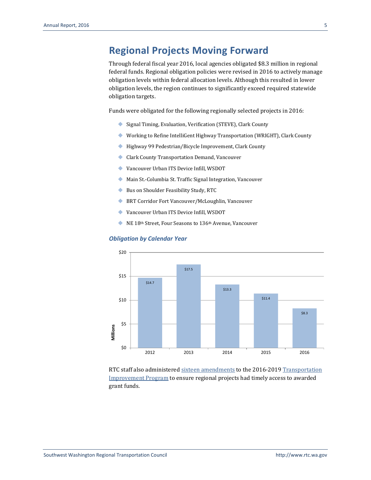# **Regional Projects Moving Forward**

Through federal fiscal year 2016, local agencies obligated \$8.3 million in regional federal funds. Regional obligation policies were revised in 2016 to actively manage obligation levels within federal allocation levels. Although this resulted in lower obligation levels, the region continues to significantly exceed required statewide obligation targets.

Funds were obligated for the following regionally selected projects in 2016:

- ◆ Signal Timing, Evaluation, Verification (STEVE), Clark County
- Working to Refine IntelliGent Highway Transportation (WRIGHT), Clark County
- ◆ Highway 99 Pedestrian/Bicycle Improvement, Clark County
- Clark County Transportation Demand, Vancouver
- Vancouver Urban ITS Device Infill, WSDOT
- Main St.-Columbia St. Traffic Signal Integration, Vancouver
- Bus on Shoulder Feasibility Study, RTC
- ◆ BRT Corridor Fort Vancouver/McLoughlin, Vancouver
- Vancouver Urban ITS Device Infill, WSDOT
- NE 18th Street, Four Seasons to 136th Avenue, Vancouver

#### *Obligation by Calendar Year*



RTC staff also administered sixteen [amendments](http://www.rtc.wa.gov/programs/tip/amendments/) to the 2016-2019 [Transportation](http://www.rtc.wa.gov/programs/tip/)  [Improvement Program](http://www.rtc.wa.gov/programs/tip/) to ensure regional projects had timely access to awarded grant funds.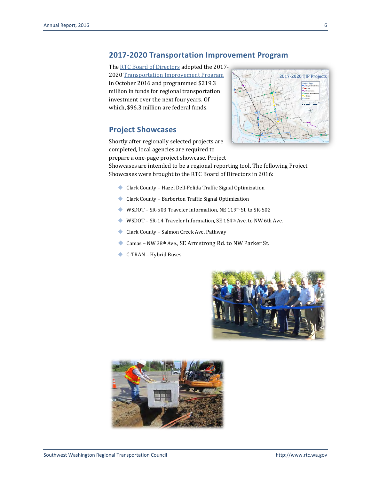#### **2017-2020 Transportation Improvement Program**

Th[e RTC Board of Directors](http://www.rtc.wa.gov/agency/board/) adopted the 2017-2020 [Transportation Improvement Program](http://www.rtc.wa.gov/programs/tip/) in October 2016 and programmed \$219.3 million in funds for regional transportation investment over the next four years. Of which, \$96.3 million are federal funds.

#### **Project Showcases**

Shortly after regionally selected projects are completed, local agencies are required to prepare a one-page project showcase. Project



Showcases are intended to be a regional reporting tool. The following Project Showcases were brought to the RTC Board of Directors in 2016:

- ◆ Clark County Hazel Dell-Felida Traffic Signal Optimization
- Clark County Barberton Traffic Signal Optimization
- WSDOT SR-503 Traveler Information, NE 119th St. to SR-502
- WSDOT SR-14 Traveler Information, SE 164th Ave. to NW 6th Ave.
- Clark County Salmon Creek Ave. Pathway
- Camas NW 38th Ave., SE Armstrong Rd. to NW Parker St.
- C-TRAN Hybrid Buses



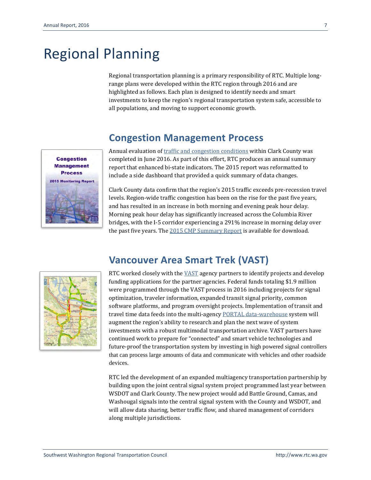# Regional Planning

Regional transportation planning is a primary responsibility of RTC. Multiple longrange plans were developed within the RTC region through 2016 and are highlighted as follows. Each plan is designed to identify needs and smart investments to keep the region's regional transportation system safe, accessible to all populations, and moving to support economic growth.

#### **Congestion Management Process**

Annual evaluation o[f traffic and congestion conditions](http://www.rtc.wa.gov/programs/cmp/) within Clark County was completed in June 2016. As part of this effort, RTC produces an annual summary report that enhanced bi-state indicators. The 2015 report was reformatted to include a side dashboard that provided a quick summary of data changes.

Clark County data confirm that the region's 2015 traffic exceeds pre-recession travel levels. Region-wide traffic congestion has been on the rise for the past five years, and has resulted in an increase in both morning and evening peak hour delay. Morning peak hour delay has significantly increased across the Columbia River bridges, with the I-5 corridor experiencing a 291% increase in morning delay over the past five years. The [2015 CMP Summary Report](http://rtc.wa.gov/reports/cmp/CMsum15.pdf) is available for download.

### **Vancouver Area Smart Trek (VAST)**



**Congestion Management Process 2015 Monitoring Report** 

> RTC worked closely with the [VAST](http://www.rtc.wa.gov/programs/vast/) agency partners to identify projects and develop funding applications for the partner agencies. Federal funds totaling \$1.9 million were programmed through the VAST process in 2016 including projects for signal optimization, traveler information, expanded transit signal priority, common software platforms, and program oversight projects. Implementation of transit and travel time data feeds into the multi-agenc[y PORTAL data-warehouse](http://www.rtc.wa.gov/programs/vast/portal/) system will augment the region's ability to research and plan the next wave of system investments with a robust multimodal transportation archive. VAST partners have continued work to prepare for "connected" and smart vehicle technologies and future-proof the transportation system by investing in high powered signal controllers that can process large amounts of data and communicate with vehicles and other roadside devices.

> RTC led the development of an expanded multiagency transportation partnership by building upon the joint central signal system project programmed last year between WSDOT and Clark County. The new project would add Battle Ground, Camas, and Washougal signals into the central signal system with the County and WSDOT, and will allow data sharing, better traffic flow, and shared management of corridors along multiple jurisdictions.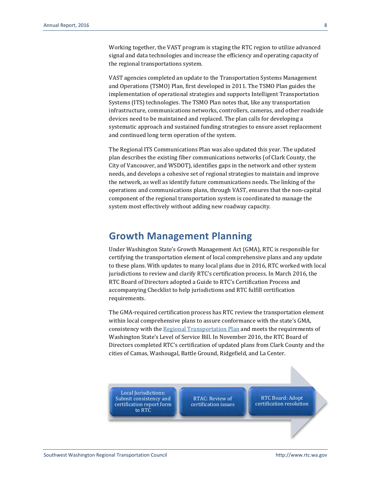Working together, the VAST program is staging the RTC region to utilize advanced signal and data technologies and increase the efficiency and operating capacity of the regional transportations system.

VAST agencies completed an update to the Transportation Systems Management and Operations (TSMO) Plan, first developed in 2011. The TSMO Plan guides the implementation of operational strategies and supports Intelligent Transportation Systems (ITS) technologies. The TSMO Plan notes that, like any transportation infrastructure, communications networks, controllers, cameras, and other roadside devices need to be maintained and replaced. The plan calls for developing a systematic approach and sustained funding strategies to ensure asset replacement and continued long term operation of the system.

The Regional ITS Communications Plan was also updated this year. The updated plan describes the existing fiber communications networks (of Clark County, the City of Vancouver, and WSDOT), identifies gaps in the network and other system needs, and develops a cohesive set of regional strategies to maintain and improve the network, as well as identify future communications needs. The linking of the operations and communications plans, through VAST, ensures that the non-capital component of the regional transportation system is coordinated to manage the system most effectively without adding new roadway capacity.

#### **Growth Management Planning**

Under Washington State's Growth Management Act (GMA), RTC is responsible for certifying the transportation element of local comprehensive plans and any update to these plans. With updates to many local plans due in 2016, RTC worked with local jurisdictions to review and clarify RTC's certification process. In March 2016, the RTC Board of Directors adopted a Guide to RTC's Certification Process and accompanying Checklist to help jurisdictions and RTC fulfill certification requirements.

The GMA-required certification process has RTC review the transportation element within local comprehensive plans to assure conformance with the state's GMA, consistency with the [Regional Transportation Plan](http://www.rtc.wa.gov/programs/rtp/clark/) and meets the requirements of Washington State's Level of Service Bill. In November 2016, the RTC Board of Directors completed RTC's certification of updated plans from Clark County and the cities of Camas, Washougal, Battle Ground, Ridgefield, and La Center.

Local Jurisdictions: Submit consistency and certification report form to RTC

RTAC: Review of certification issues

RTC Board: Adopt certification resolution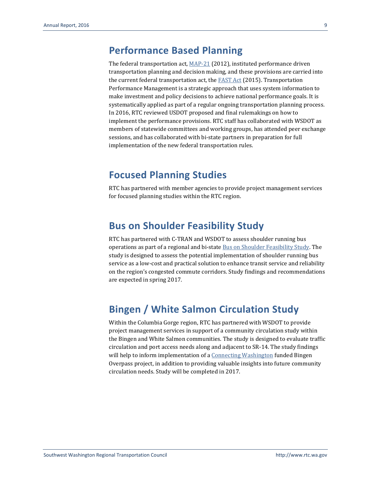#### **Performance Based Planning**

The federal transportation act[, MAP-21](http://www.fmcsa.dot.gov/about/what-we-do/MAP-21/Map21.aspx) (2012), instituted performance driven transportation planning and decision making, and these provisions are carried into the current federal transportation act, the  $FAST Act (2015)$ . Transportation</u> Performance Management is a strategic approach that uses system information to make investment and policy decisions to achieve national performance goals. It is systematically applied as part of a regular ongoing transportation planning process. In 2016, RTC reviewed USDOT proposed and final rulemakings on how to implement the performance provisions. RTC staff has collaborated with WSDOT as members of statewide committees and working groups, has attended peer exchange sessions, and has collaborated with bi-state partners in preparation for full implementation of the new federal transportation rules.

#### **Focused Planning Studies**

RTC has partnered with member agencies to provide project management services for focused planning studies within the RTC region.

#### **Bus on Shoulder Feasibility Study**

RTC has partnered with C-TRAN and WSDOT to assess shoulder running bus operations as part of a regional and bi-stat[e Bus on Shoulder Feasibility Study.](http://rtc.wa.gov/news/feature/?id=160412) The study is designed to assess the potential implementation of shoulder running bus service as a low-cost and practical solution to enhance transit service and reliability on the region's congested commute corridors. Study findings and recommendations are expected in spring 2017.

# **Bingen / White Salmon Circulation Study**

Within the Columbia Gorge region, RTC has partnered with WSDOT to provide project management services in support of a community circulation study within the Bingen and White Salmon communities. The study is designed to evaluate traffic circulation and port access needs along and adjacent to SR-14. The study findings will help to inform implementation of [a Connecting Washington](http://www.wsdot.wa.gov/Projects/Funding/CWA/) funded Bingen Overpass project, in addition to providing valuable insights into future community circulation needs. Study will be completed in 2017.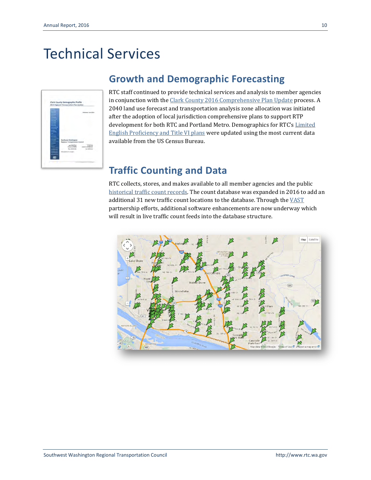# Technical Services



#### **Growth and Demographic Forecasting**

RTC staff continued to provide technical services and analysis to member agencies in conjunction with the [Clark County 2016 Comprehensive Plan Update](http://www.clark.wa.gov/Planning/2016update/index.html) process. A 2040 land use forecast and transportation analysis zone allocation was initiated after the adoption of local jurisdiction comprehensive plans to support RTP development for both RTC and Portland Metro. Demographics for RTC's [Limited](http://www.rtc.wa.gov/info/title6/)  [English Proficiency and Title VI plans](http://www.rtc.wa.gov/info/title6/) were updated using the most current data available from the US Census Bureau.

### **Traffic Counting and Data**

RTC collects, stores, and makes available to all member agencies and the public [historical traffic count records.](http://www.rtc.wa.gov/data/traffic/) The count database was expanded in 2016 to add an additional 31 new traffic count locations to the database. Through the  $VAST$ </u> partnership efforts, additional software enhancements are now underway which will result in live traffic count feeds into the database structure.

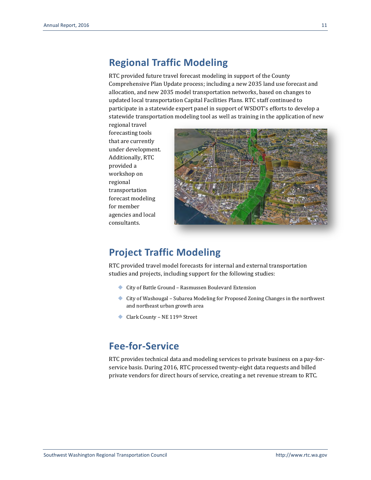#### **Regional Traffic Modeling**

RTC provided future travel forecast modeling in support of the County Comprehensive Plan Update process; including a new 2035 land use forecast and allocation, and new 2035 model transportation networks, based on changes to updated local transportation Capital Facilities Plans. RTC staff continued to participate in a statewide expert panel in support of WSDOT's efforts to develop a statewide transportation modeling tool as well as training in the application of new

regional travel forecasting tools that are currently under development. Additionally, RTC provided a workshop on regional transportation forecast modeling for member agencies and local consultants.



#### **Project Traffic Modeling**

RTC provided travel model forecasts for internal and external transportation studies and projects, including support for the following studies:

- ◆ City of Battle Ground Rasmussen Boulevard Extension
- City of Washougal Subarea Modeling for Proposed Zoning Changes in the northwest and northeast urban growth area
- ◆ Clark County NE 119<sup>th</sup> Street

# **Fee-for-Service**

RTC provides technical data and modeling services to private business on a pay-forservice basis. During 2016, RTC processed twenty-eight data requests and billed private vendors for direct hours of service, creating a net revenue stream to RTC.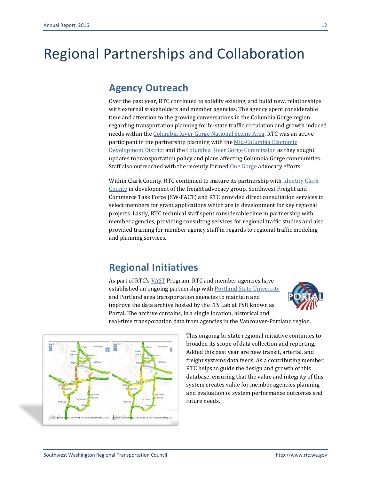# Regional Partnerships and Collaboration

#### **Agency Outreach**

Over the past year, RTC continued to solidify existing, and build new, relationships with external stakeholders and member agencies. The agency spent considerable time and attention to the growing conversations in the Columbia Gorge region regarding transportation planning for bi-state traffic circulation and growth induced needs within th[e Columbia River Gorge National](http://www.fs.usda.gov/crgnsa) Scenic Area. RTC was an active participant in the partnership planning with th[e Mid-Columbia Economic](http://www.mcedd.org/)  [Development District](http://www.mcedd.org/) and th[e Columbia River Gorge Commission](http://www.gorgecommission.org/) as they sought updates to transportation policy and plans affecting Columbia Gorge communities. Staff also outreached with the recently formed One [Gorge](http://onegorge.org/) advocacy efforts.

Within Clark County, RTC continued to mature its partnership wit[h Identity Clark](http://www.iccbusiness.org/)  [County](http://www.iccbusiness.org/) in development of the freight advocacy group, Southwest Freight and Commerce Task Force (SW-FACT) and RTC provided direct consultation services to select members for grant applications which are in development for key regional projects. Lastly, RTC technical staff spent considerable time in partnership with member agencies, providing consulting services for regional traffic studies and also provided training for member agency staff in regards to regional traffic modeling and planning services.

# **Regional Initiatives**

As part of RTC's [VAST](http://www.rtc.wa.gov/programs/vast/) Program, RTC and member agencies have established an ongoing partnership with [Portland State University](http://www.pdx.edu/) and Portland area transportation agencies to maintain and improve the data archive hosted by the ITS Lab at PSU known as Portal. The archive contains, in a single location, historical and real-time transportation data from agencies in the Vancouver-Portland region.





This ongoing bi-state regional initiative continues to broaden its scope of data collection and reporting. Added this past year are new transit, arterial, and freight systems data feeds. As a contributing member, RTC helps to guide the design and growth of this database, ensuring that the value and integrity of this system creates value for member agencies planning and evaluation of system performance outcomes and future needs.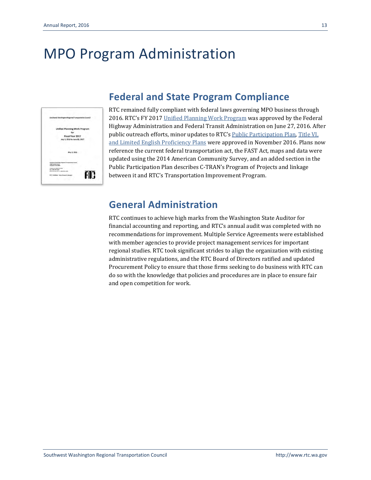# MPO Program Administration



# **Federal and State Program Compliance**

RTC remained fully compliant with federal laws governing MPO business through 2016. RTC's FY 201[7 Unified Planning Work Program](http://www.rtc.wa.gov/programs/upwp/) was approved by the Federal Highway Administration and Federal Transit Administration on June 27, 2016. After public outreach efforts, minor updates to RTC's [Public Participation Plan,](http://www.rtc.wa.gov/agency/participation/) [Title VI,](http://www.rtc.wa.gov/info/title6/)  [and Limited English Proficiency Plans](http://www.rtc.wa.gov/info/title6/) were approved in November 2016. Plans now reference the current federal transportation act, the FAST Act, maps and data were updated using the 2014 American Community Survey, and an added section in the Public Participation Plan describes C-TRAN's Program of Projects and linkage between it and RTC's Transportation Improvement Program.

## **General Administration**

RTC continues to achieve high marks from the Washington State Auditor for financial accounting and reporting, and RTC's annual audit was completed with no recommendations for improvement. Multiple Service Agreements were established with member agencies to provide project management services for important regional studies. RTC took significant strides to align the organization with existing administrative regulations, and the RTC Board of Directors ratified and updated Procurement Policy to ensure that those firms seeking to do business with RTC can do so with the knowledge that policies and procedures are in place to ensure fair and open competition for work.